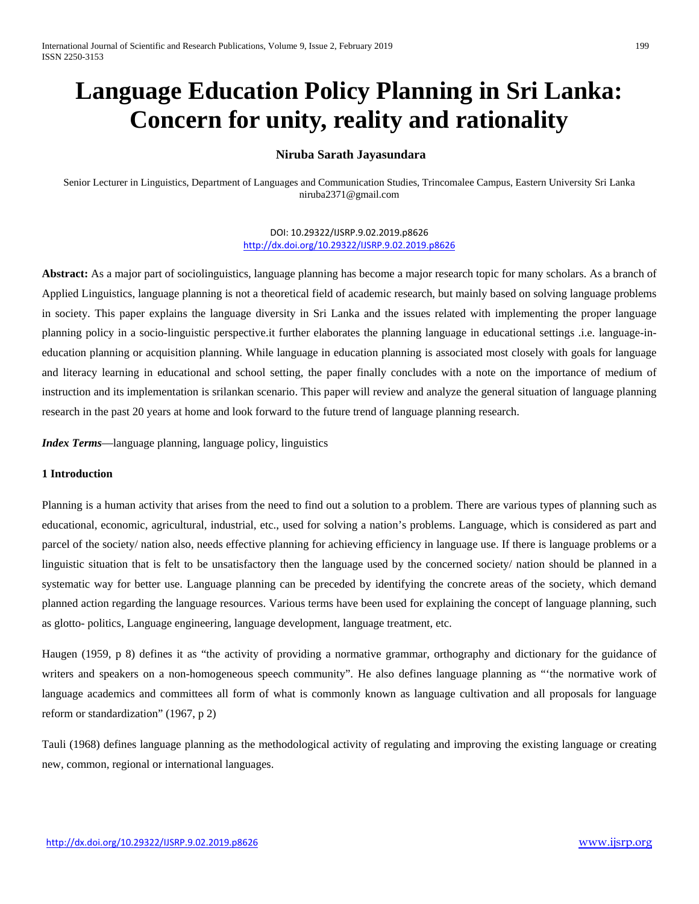# **Language Education Policy Planning in Sri Lanka: Concern for unity, reality and rationality**

# **Niruba Sarath Jayasundara**

Senior Lecturer in Linguistics, Department of Languages and Communication Studies, Trincomalee Campus, Eastern University Sri Lanka niruba2371@gmail.com

> DOI: 10.29322/IJSRP.9.02.2019.p8626 <http://dx.doi.org/10.29322/IJSRP.9.02.2019.p8626>

**Abstract:** As a major part of sociolinguistics, language planning has become a major research topic for many scholars. As a branch of Applied Linguistics, language planning is not a theoretical field of academic research, but mainly based on solving language problems in society. This paper explains the language diversity in Sri Lanka and the issues related with implementing the proper language planning policy in a socio-linguistic perspective.it further elaborates the planning language in educational settings .i.e. language-ineducation planning or acquisition planning. While language in education planning is associated most closely with goals for language and literacy learning in educational and school setting, the paper finally concludes with a note on the importance of medium of instruction and its implementation is srilankan scenario. This paper will review and analyze the general situation of language planning research in the past 20 years at home and look forward to the future trend of language planning research.

*Index Terms*—language planning, language policy, linguistics

# **1 Introduction**

Planning is a human activity that arises from the need to find out a solution to a problem. There are various types of planning such as educational, economic, agricultural, industrial, etc., used for solving a nation's problems. Language, which is considered as part and parcel of the society/ nation also, needs effective planning for achieving efficiency in language use. If there is language problems or a linguistic situation that is felt to be unsatisfactory then the language used by the concerned society/ nation should be planned in a systematic way for better use. Language planning can be preceded by identifying the concrete areas of the society, which demand planned action regarding the language resources. Various terms have been used for explaining the concept of language planning, such as glotto- politics, Language engineering, language development, language treatment, etc.

Haugen (1959, p 8) defines it as "the activity of providing a normative grammar, orthography and dictionary for the guidance of writers and speakers on a non-homogeneous speech community". He also defines language planning as "'the normative work of language academics and committees all form of what is commonly known as language cultivation and all proposals for language reform or standardization" (1967, p 2)

Tauli (1968) defines language planning as the methodological activity of regulating and improving the existing language or creating new, common, regional or international languages.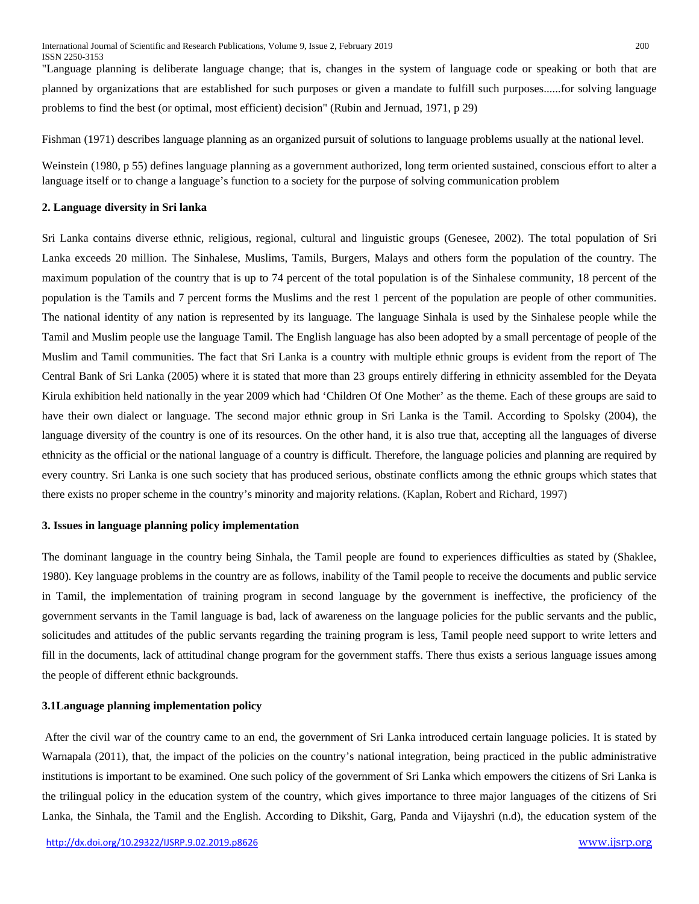"Language planning is deliberate language change; that is, changes in the system of language code or speaking or both that are planned by organizations that are established for such purposes or given a mandate to fulfill such purposes......for solving language problems to find the best (or optimal, most efficient) decision" (Rubin and Jernuad, 1971, p 29)

Fishman (1971) describes language planning as an organized pursuit of solutions to language problems usually at the national level.

Weinstein (1980, p 55) defines language planning as a government authorized, long term oriented sustained, conscious effort to alter a language itself or to change a language's function to a society for the purpose of solving communication problem

### **2. Language diversity in Sri lanka**

Sri Lanka contains diverse ethnic, religious, regional, cultural and linguistic groups (Genesee, 2002). The total population of Sri Lanka exceeds 20 million. The Sinhalese, Muslims, Tamils, Burgers, Malays and others form the population of the country. The maximum population of the country that is up to 74 percent of the total population is of the Sinhalese community, 18 percent of the population is the Tamils and 7 percent forms the Muslims and the rest 1 percent of the population are people of other communities. The national identity of any nation is represented by its language. The language Sinhala is used by the Sinhalese people while the Tamil and Muslim people use the language Tamil. The English language has also been adopted by a small percentage of people of the Muslim and Tamil communities. The fact that Sri Lanka is a country with multiple ethnic groups is evident from the report of The Central Bank of Sri Lanka (2005) where it is stated that more than 23 groups entirely differing in ethnicity assembled for the Deyata Kirula exhibition held nationally in the year 2009 which had 'Children Of One Mother' as the theme. Each of these groups are said to have their own dialect or language. The second major ethnic group in Sri Lanka is the Tamil. According to Spolsky (2004), the language diversity of the country is one of its resources. On the other hand, it is also true that, accepting all the languages of diverse ethnicity as the official or the national language of a country is difficult. Therefore, the language policies and planning are required by every country. Sri Lanka is one such society that has produced serious, obstinate conflicts among the ethnic groups which states that there exists no proper scheme in the country's minority and majority relations. (Kaplan, Robert and Richard, 1997)

### **3. Issues in language planning policy implementation**

The dominant language in the country being Sinhala, the Tamil people are found to experiences difficulties as stated by (Shaklee, 1980). Key language problems in the country are as follows, inability of the Tamil people to receive the documents and public service in Tamil, the implementation of training program in second language by the government is ineffective, the proficiency of the government servants in the Tamil language is bad, lack of awareness on the language policies for the public servants and the public, solicitudes and attitudes of the public servants regarding the training program is less, Tamil people need support to write letters and fill in the documents, lack of attitudinal change program for the government staffs. There thus exists a serious language issues among the people of different ethnic backgrounds.

#### **3.1Language planning implementation policy**

After the civil war of the country came to an end, the government of Sri Lanka introduced certain language policies. It is stated by Warnapala (2011), that, the impact of the policies on the country's national integration, being practiced in the public administrative institutions is important to be examined. One such policy of the government of Sri Lanka which empowers the citizens of Sri Lanka is the trilingual policy in the education system of the country, which gives importance to three major languages of the citizens of Sri Lanka, the Sinhala, the Tamil and the English. According to Dikshit, Garg, Panda and Vijayshri (n.d), the education system of the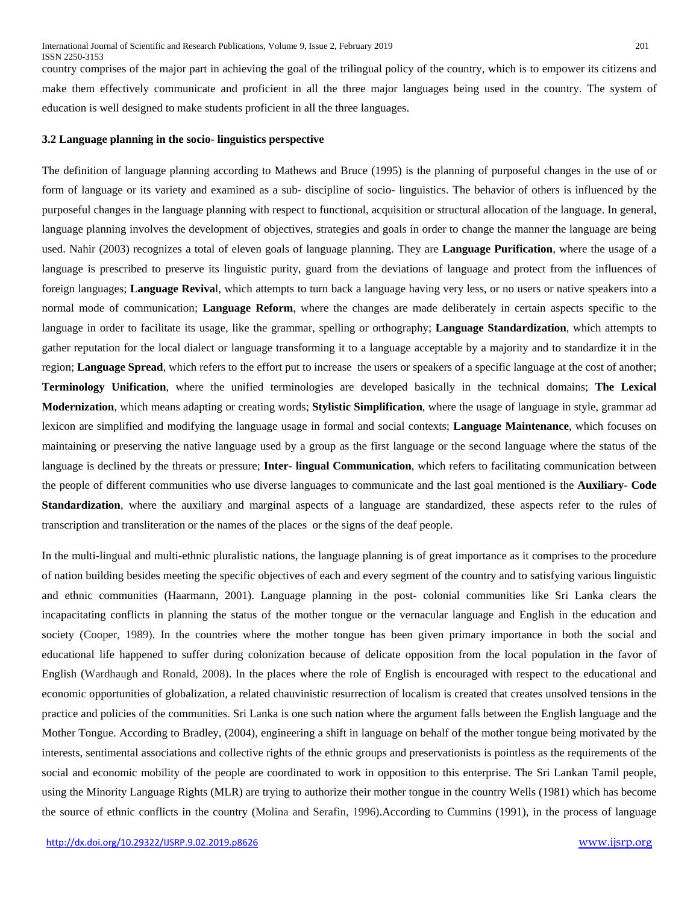country comprises of the major part in achieving the goal of the trilingual policy of the country, which is to empower its citizens and make them effectively communicate and proficient in all the three major languages being used in the country. The system of education is well designed to make students proficient in all the three languages.

#### **3.2 Language planning in the socio- linguistics perspective**

The definition of language planning according to Mathews and Bruce (1995) is the planning of purposeful changes in the use of or form of language or its variety and examined as a sub- discipline of socio- linguistics. The behavior of others is influenced by the purposeful changes in the language planning with respect to functional, acquisition or structural allocation of the language. In general, language planning involves the development of objectives, strategies and goals in order to change the manner the language are being used. Nahir (2003) recognizes a total of eleven goals of language planning. They are **Language Purification**, where the usage of a language is prescribed to preserve its linguistic purity, guard from the deviations of language and protect from the influences of foreign languages; **Language Reviva**l, which attempts to turn back a language having very less, or no users or native speakers into a normal mode of communication; **Language Reform**, where the changes are made deliberately in certain aspects specific to the language in order to facilitate its usage, like the grammar, spelling or orthography; **Language Standardization**, which attempts to gather reputation for the local dialect or language transforming it to a language acceptable by a majority and to standardize it in the region; **Language Spread**, which refers to the effort put to increase the users or speakers of a specific language at the cost of another; **Terminology Unification**, where the unified terminologies are developed basically in the technical domains; **The Lexical Modernization**, which means adapting or creating words; **Stylistic Simplification**, where the usage of language in style, grammar ad lexicon are simplified and modifying the language usage in formal and social contexts; **Language Maintenance**, which focuses on maintaining or preserving the native language used by a group as the first language or the second language where the status of the language is declined by the threats or pressure; **Inter- lingual Communication**, which refers to facilitating communication between the people of different communities who use diverse languages to communicate and the last goal mentioned is the **Auxiliary- Code Standardization**, where the auxiliary and marginal aspects of a language are standardized, these aspects refer to the rules of transcription and transliteration or the names of the places or the signs of the deaf people.

In the multi-lingual and multi-ethnic pluralistic nations, the language planning is of great importance as it comprises to the procedure of nation building besides meeting the specific objectives of each and every segment of the country and to satisfying various linguistic and ethnic communities (Haarmann, 2001). Language planning in the post- colonial communities like Sri Lanka clears the incapacitating conflicts in planning the status of the mother tongue or the vernacular language and English in the education and society (Cooper, 1989). In the countries where the mother tongue has been given primary importance in both the social and educational life happened to suffer during colonization because of delicate opposition from the local population in the favor of English (Wardhaugh and Ronald, 2008). In the places where the role of English is encouraged with respect to the educational and economic opportunities of globalization, a related chauvinistic resurrection of localism is created that creates unsolved tensions in the practice and policies of the communities. Sri Lanka is one such nation where the argument falls between the English language and the Mother Tongue. According to Bradley, (2004), engineering a shift in language on behalf of the mother tongue being motivated by the interests, sentimental associations and collective rights of the ethnic groups and preservationists is pointless as the requirements of the social and economic mobility of the people are coordinated to work in opposition to this enterprise. The Sri Lankan Tamil people, using the Minority Language Rights (MLR) are trying to authorize their mother tongue in the country Wells (1981) which has become the source of ethnic conflicts in the country (Molina and Serafin, 1996).According to Cummins (1991), in the process of language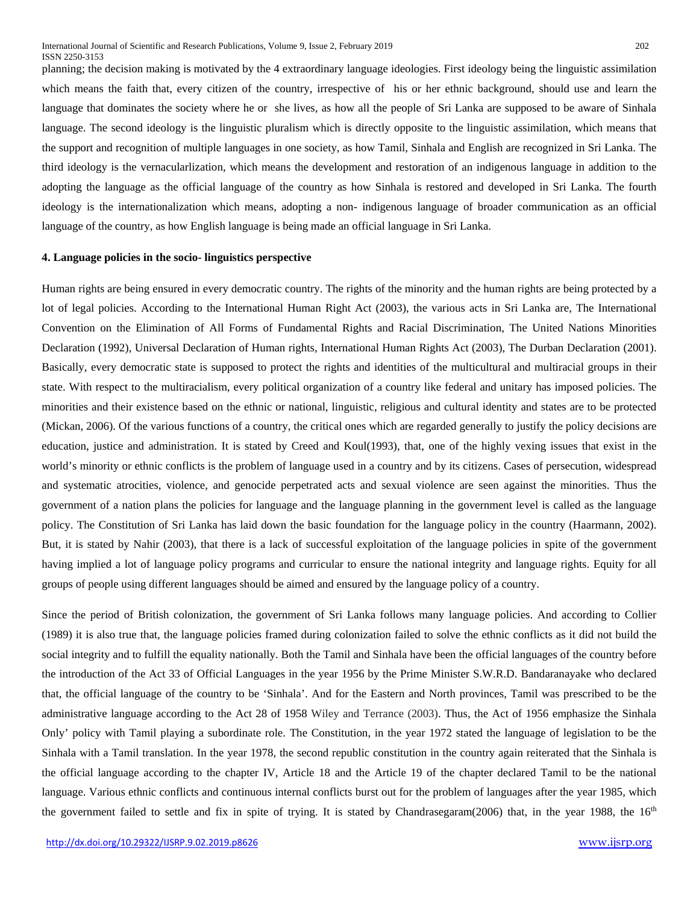planning; the decision making is motivated by the 4 extraordinary language ideologies. First ideology being the linguistic assimilation which means the faith that, every citizen of the country, irrespective of his or her ethnic background, should use and learn the language that dominates the society where he or she lives, as how all the people of Sri Lanka are supposed to be aware of Sinhala language. The second ideology is the linguistic pluralism which is directly opposite to the linguistic assimilation, which means that the support and recognition of multiple languages in one society, as how Tamil, Sinhala and English are recognized in Sri Lanka. The third ideology is the vernacularlization, which means the development and restoration of an indigenous language in addition to the adopting the language as the official language of the country as how Sinhala is restored and developed in Sri Lanka. The fourth ideology is the internationalization which means, adopting a non- indigenous language of broader communication as an official language of the country, as how English language is being made an official language in Sri Lanka.

## **4. Language policies in the socio- linguistics perspective**

Human rights are being ensured in every democratic country. The rights of the minority and the human rights are being protected by a lot of legal policies. According to the International Human Right Act (2003), the various acts in Sri Lanka are, The International Convention on the Elimination of All Forms of Fundamental Rights and Racial Discrimination, The United Nations Minorities Declaration (1992), Universal Declaration of Human rights, International Human Rights Act (2003), The Durban Declaration (2001). Basically, every democratic state is supposed to protect the rights and identities of the multicultural and multiracial groups in their state. With respect to the multiracialism, every political organization of a country like federal and unitary has imposed policies. The minorities and their existence based on the ethnic or national, linguistic, religious and cultural identity and states are to be protected (Mickan, 2006). Of the various functions of a country, the critical ones which are regarded generally to justify the policy decisions are education, justice and administration. It is stated by Creed and Koul(1993), that, one of the highly vexing issues that exist in the world's minority or ethnic conflicts is the problem of language used in a country and by its citizens. Cases of persecution, widespread and systematic atrocities, violence, and genocide perpetrated acts and sexual violence are seen against the minorities. Thus the government of a nation plans the policies for language and the language planning in the government level is called as the language policy. The Constitution of Sri Lanka has laid down the basic foundation for the language policy in the country (Haarmann, 2002). But, it is stated by Nahir (2003), that there is a lack of successful exploitation of the language policies in spite of the government having implied a lot of language policy programs and curricular to ensure the national integrity and language rights. Equity for all groups of people using different languages should be aimed and ensured by the language policy of a country.

Since the period of British colonization, the government of Sri Lanka follows many language policies. And according to Collier (1989) it is also true that, the language policies framed during colonization failed to solve the ethnic conflicts as it did not build the social integrity and to fulfill the equality nationally. Both the Tamil and Sinhala have been the official languages of the country before the introduction of the Act 33 of Official Languages in the year 1956 by the Prime Minister S.W.R.D. Bandaranayake who declared that, the official language of the country to be 'Sinhala'. And for the Eastern and North provinces, Tamil was prescribed to be the administrative language according to the Act 28 of 1958 Wiley and Terrance (2003). Thus, the Act of 1956 emphasize the Sinhala Only' policy with Tamil playing a subordinate role. The Constitution, in the year 1972 stated the language of legislation to be the Sinhala with a Tamil translation. In the year 1978, the second republic constitution in the country again reiterated that the Sinhala is the official language according to the chapter IV, Article 18 and the Article 19 of the chapter declared Tamil to be the national language. Various ethnic conflicts and continuous internal conflicts burst out for the problem of languages after the year 1985, which the government failed to settle and fix in spite of trying. It is stated by Chandrasegaram(2006) that, in the year 1988, the  $16<sup>th</sup>$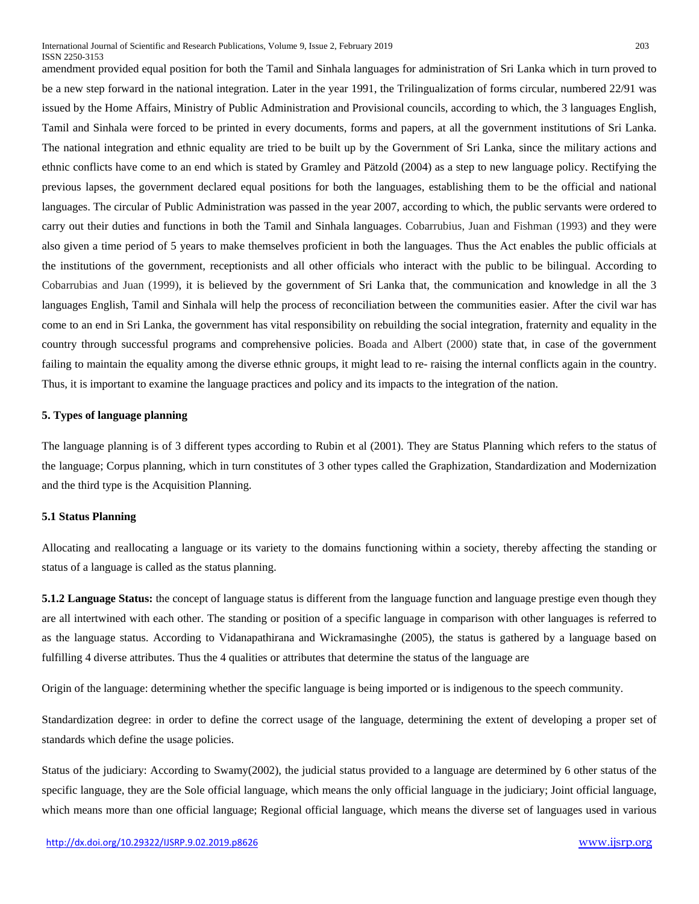amendment provided equal position for both the Tamil and Sinhala languages for administration of Sri Lanka which in turn proved to be a new step forward in the national integration. Later in the year 1991, the Trilingualization of forms circular, numbered 22/91 was issued by the Home Affairs, Ministry of Public Administration and Provisional councils, according to which, the 3 languages English, Tamil and Sinhala were forced to be printed in every documents, forms and papers, at all the government institutions of Sri Lanka. The national integration and ethnic equality are tried to be built up by the Government of Sri Lanka, since the military actions and ethnic conflicts have come to an end which is stated by Gramley and Pätzold (2004) as a step to new language policy. Rectifying the previous lapses, the government declared equal positions for both the languages, establishing them to be the official and national languages. The circular of Public Administration was passed in the year 2007, according to which, the public servants were ordered to carry out their duties and functions in both the Tamil and Sinhala languages. Cobarrubius, Juan and Fishman (1993) and they were also given a time period of 5 years to make themselves proficient in both the languages. Thus the Act enables the public officials at the institutions of the government, receptionists and all other officials who interact with the public to be bilingual. According to Cobarrubias and Juan (1999), it is believed by the government of Sri Lanka that, the communication and knowledge in all the 3 languages English, Tamil and Sinhala will help the process of reconciliation between the communities easier. After the civil war has come to an end in Sri Lanka, the government has vital responsibility on rebuilding the social integration, fraternity and equality in the country through successful programs and comprehensive policies. Boada and Albert (2000) state that, in case of the government failing to maintain the equality among the diverse ethnic groups, it might lead to re- raising the internal conflicts again in the country. Thus, it is important to examine the language practices and policy and its impacts to the integration of the nation.

# **5. Types of language planning**

The language planning is of 3 different types according to Rubin et al (2001). They are Status Planning which refers to the status of the language; Corpus planning, which in turn constitutes of 3 other types called the Graphization, Standardization and Modernization and the third type is the Acquisition Planning.

# **5.1 Status Planning**

Allocating and reallocating a language or its variety to the domains functioning within a society, thereby affecting the standing or status of a language is called as the status planning.

**5.1.2 Language Status:** the concept of language status is different from the language function and language prestige even though they are all intertwined with each other. The standing or position of a specific language in comparison with other languages is referred to as the language status. According to Vidanapathirana and Wickramasinghe (2005), the status is gathered by a language based on fulfilling 4 diverse attributes. Thus the 4 qualities or attributes that determine the status of the language are

Origin of the language: determining whether the specific language is being imported or is indigenous to the speech community.

Standardization degree: in order to define the correct usage of the language, determining the extent of developing a proper set of standards which define the usage policies.

Status of the judiciary: According to Swamy(2002), the judicial status provided to a language are determined by 6 other status of the specific language, they are the Sole official language, which means the only official language in the judiciary; Joint official language, which means more than one official language; Regional official language, which means the diverse set of languages used in various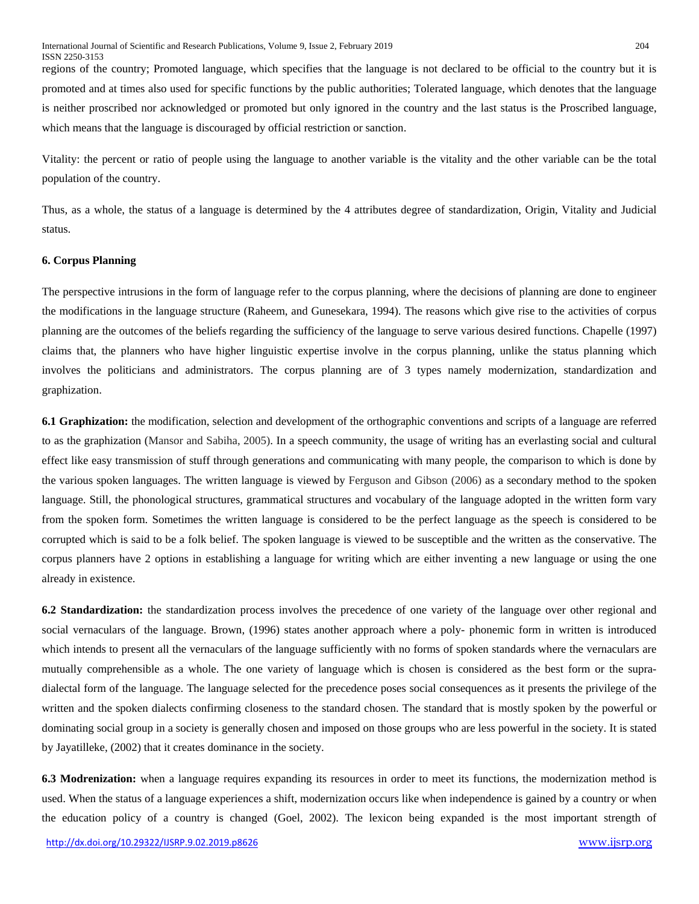regions of the country; Promoted language, which specifies that the language is not declared to be official to the country but it is promoted and at times also used for specific functions by the public authorities; Tolerated language, which denotes that the language is neither proscribed nor acknowledged or promoted but only ignored in the country and the last status is the Proscribed language, which means that the language is discouraged by official restriction or sanction.

Vitality: the percent or ratio of people using the language to another variable is the vitality and the other variable can be the total population of the country.

Thus, as a whole, the status of a language is determined by the 4 attributes degree of standardization, Origin, Vitality and Judicial status.

# **6. Corpus Planning**

The perspective intrusions in the form of language refer to the corpus planning, where the decisions of planning are done to engineer the modifications in the language structure (Raheem, and Gunesekara, 1994). The reasons which give rise to the activities of corpus planning are the outcomes of the beliefs regarding the sufficiency of the language to serve various desired functions. Chapelle (1997) claims that, the planners who have higher linguistic expertise involve in the corpus planning, unlike the status planning which involves the politicians and administrators. The corpus planning are of 3 types namely modernization, standardization and graphization.

**6.1 Graphization:** the modification, selection and development of the orthographic conventions and scripts of a language are referred to as the graphization (Mansor and Sabiha, 2005). In a speech community, the usage of writing has an everlasting social and cultural effect like easy transmission of stuff through generations and communicating with many people, the comparison to which is done by the various spoken languages. The written language is viewed by Ferguson and Gibson (2006) as a secondary method to the spoken language. Still, the phonological structures, grammatical structures and vocabulary of the language adopted in the written form vary from the spoken form. Sometimes the written language is considered to be the perfect language as the speech is considered to be corrupted which is said to be a folk belief. The spoken language is viewed to be susceptible and the written as the conservative. The corpus planners have 2 options in establishing a language for writing which are either inventing a new language or using the one already in existence.

**6.2 Standardization:** the standardization process involves the precedence of one variety of the language over other regional and social vernaculars of the language. Brown, (1996) states another approach where a poly- phonemic form in written is introduced which intends to present all the vernaculars of the language sufficiently with no forms of spoken standards where the vernaculars are mutually comprehensible as a whole. The one variety of language which is chosen is considered as the best form or the supradialectal form of the language. The language selected for the precedence poses social consequences as it presents the privilege of the written and the spoken dialects confirming closeness to the standard chosen. The standard that is mostly spoken by the powerful or dominating social group in a society is generally chosen and imposed on those groups who are less powerful in the society. It is stated by Jayatilleke, (2002) that it creates dominance in the society.

**6.3 Modrenization:** when a language requires expanding its resources in order to meet its functions, the modernization method is used. When the status of a language experiences a shift, modernization occurs like when independence is gained by a country or when the education policy of a country is changed (Goel, 2002). The lexicon being expanded is the most important strength of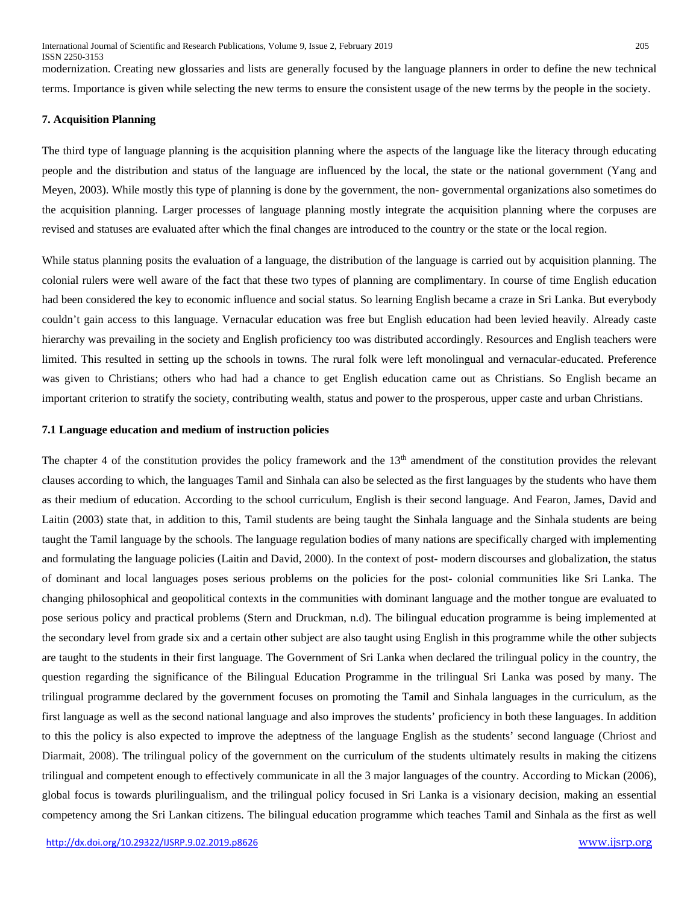modernization. Creating new glossaries and lists are generally focused by the language planners in order to define the new technical terms. Importance is given while selecting the new terms to ensure the consistent usage of the new terms by the people in the society.

### **7. Acquisition Planning**

The third type of language planning is the acquisition planning where the aspects of the language like the literacy through educating people and the distribution and status of the language are influenced by the local, the state or the national government (Yang and Meyen, 2003). While mostly this type of planning is done by the government, the non- governmental organizations also sometimes do the acquisition planning. Larger processes of language planning mostly integrate the acquisition planning where the corpuses are revised and statuses are evaluated after which the final changes are introduced to the country or the state or the local region.

While status planning posits the evaluation of a language, the distribution of the language is carried out by acquisition planning. The colonial rulers were well aware of the fact that these two types of planning are complimentary. In course of time English education had been considered the key to economic influence and social status. So learning English became a craze in Sri Lanka. But everybody couldn't gain access to this language. Vernacular education was free but English education had been levied heavily. Already caste hierarchy was prevailing in the society and English proficiency too was distributed accordingly. Resources and English teachers were limited. This resulted in setting up the schools in towns. The rural folk were left monolingual and vernacular-educated. Preference was given to Christians; others who had had a chance to get English education came out as Christians. So English became an important criterion to stratify the society, contributing wealth, status and power to the prosperous, upper caste and urban Christians.

#### **7.1 Language education and medium of instruction policies**

The chapter 4 of the constitution provides the policy framework and the 13<sup>th</sup> amendment of the constitution provides the relevant clauses according to which, the languages Tamil and Sinhala can also be selected as the first languages by the students who have them as their medium of education. According to the school curriculum, English is their second language. And Fearon, James, David and Laitin (2003) state that, in addition to this, Tamil students are being taught the Sinhala language and the Sinhala students are being taught the Tamil language by the schools. The language regulation bodies of many nations are specifically charged with implementing and formulating the language policies (Laitin and David, 2000). In the context of post- modern discourses and globalization, the status of dominant and local languages poses serious problems on the policies for the post- colonial communities like Sri Lanka. The changing philosophical and geopolitical contexts in the communities with dominant language and the mother tongue are evaluated to pose serious policy and practical problems (Stern and Druckman, n.d). The bilingual education programme is being implemented at the secondary level from grade six and a certain other subject are also taught using English in this programme while the other subjects are taught to the students in their first language. The Government of Sri Lanka when declared the trilingual policy in the country, the question regarding the significance of the Bilingual Education Programme in the trilingual Sri Lanka was posed by many. The trilingual programme declared by the government focuses on promoting the Tamil and Sinhala languages in the curriculum, as the first language as well as the second national language and also improves the students' proficiency in both these languages. In addition to this the policy is also expected to improve the adeptness of the language English as the students' second language (Chriost and Diarmait, 2008). The trilingual policy of the government on the curriculum of the students ultimately results in making the citizens trilingual and competent enough to effectively communicate in all the 3 major languages of the country. According to Mickan (2006), global focus is towards plurilingualism, and the trilingual policy focused in Sri Lanka is a visionary decision, making an essential competency among the Sri Lankan citizens. The bilingual education programme which teaches Tamil and Sinhala as the first as well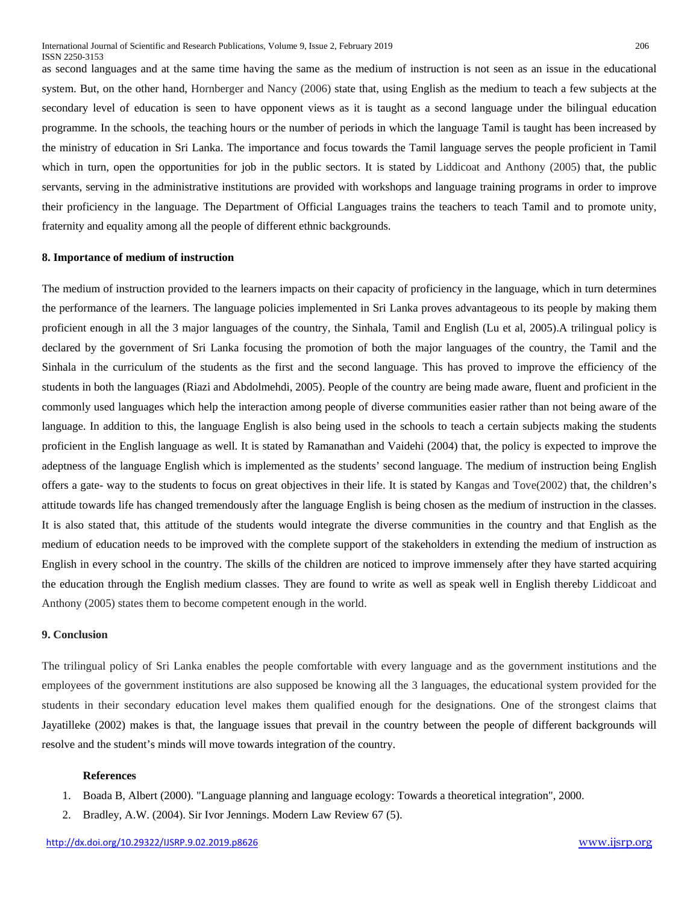as second languages and at the same time having the same as the medium of instruction is not seen as an issue in the educational system. But, on the other hand, Hornberger and Nancy (2006) state that, using English as the medium to teach a few subjects at the secondary level of education is seen to have opponent views as it is taught as a second language under the bilingual education programme. In the schools, the teaching hours or the number of periods in which the language Tamil is taught has been increased by the ministry of education in Sri Lanka. The importance and focus towards the Tamil language serves the people proficient in Tamil which in turn, open the opportunities for job in the public sectors. It is stated by Liddicoat and Anthony (2005) that, the public servants, serving in the administrative institutions are provided with workshops and language training programs in order to improve their proficiency in the language. The Department of Official Languages trains the teachers to teach Tamil and to promote unity, fraternity and equality among all the people of different ethnic backgrounds.

# **8. Importance of medium of instruction**

The medium of instruction provided to the learners impacts on their capacity of proficiency in the language, which in turn determines the performance of the learners. The language policies implemented in Sri Lanka proves advantageous to its people by making them proficient enough in all the 3 major languages of the country, the Sinhala, Tamil and English (Lu et al, 2005).A trilingual policy is declared by the government of Sri Lanka focusing the promotion of both the major languages of the country, the Tamil and the Sinhala in the curriculum of the students as the first and the second language. This has proved to improve the efficiency of the students in both the languages (Riazi and Abdolmehdi, 2005). People of the country are being made aware, fluent and proficient in the commonly used languages which help the interaction among people of diverse communities easier rather than not being aware of the language. In addition to this, the language English is also being used in the schools to teach a certain subjects making the students proficient in the English language as well. It is stated by Ramanathan and Vaidehi (2004) that, the policy is expected to improve the adeptness of the language English which is implemented as the students' second language. The medium of instruction being English offers a gate- way to the students to focus on great objectives in their life. It is stated by Kangas and Tove(2002) that, the children's attitude towards life has changed tremendously after the language English is being chosen as the medium of instruction in the classes. It is also stated that, this attitude of the students would integrate the diverse communities in the country and that English as the medium of education needs to be improved with the complete support of the stakeholders in extending the medium of instruction as English in every school in the country. The skills of the children are noticed to improve immensely after they have started acquiring the education through the English medium classes. They are found to write as well as speak well in English thereby Liddicoat and Anthony (2005) states them to become competent enough in the world.

#### **9. Conclusion**

The trilingual policy of Sri Lanka enables the people comfortable with every language and as the government institutions and the employees of the government institutions are also supposed be knowing all the 3 languages, the educational system provided for the students in their secondary education level makes them qualified enough for the designations. One of the strongest claims that Jayatilleke (2002) makes is that, the language issues that prevail in the country between the people of different backgrounds will resolve and the student's minds will move towards integration of the country.

#### **References**

- 1. Boada B, Albert (2000). ["Language planning and language ecology: Towards a theoretical integration",](http://www.scribd.com/doc/3025205/Language-Planning-and-Language-Ecology-Towards-a-theoretical-integration) 2000.
- 2. Bradley, A.W. (2004). Sir Ivor Jennings. Modern Law Review 67 (5).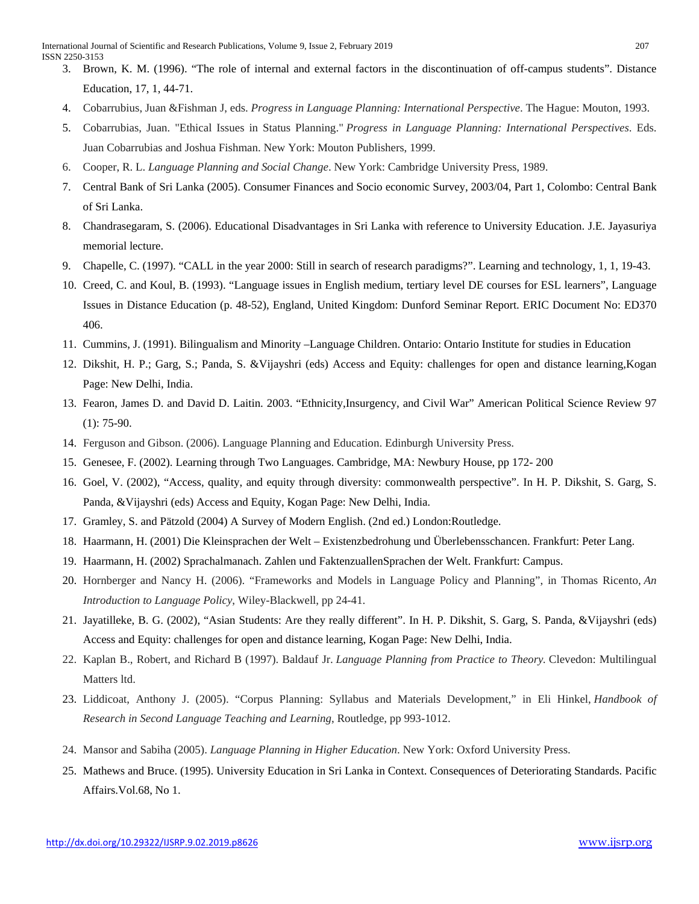- 3. Brown, K. M. (1996). "The role of internal and external factors in the discontinuation of off-campus students". Distance Education, 17, 1, 44-71.
- 4. Cobarrubius, Juan &Fishman J, eds. *Progress in Language Planning: International Perspective*. The Hague: Mouton, 1993.
- 5. Cobarrubias, Juan. "Ethical Issues in Status Planning." *Progress in Language Planning: International Perspectives*. Eds. Juan Cobarrubias and Joshua Fishman. New York: Mouton Publishers, 1999.
- 6. Cooper, R. L. *Language Planning and Social Change*. New York: Cambridge University Press, 1989.
- 7. Central Bank of Sri Lanka (2005). Consumer Finances and Socio economic Survey, 2003/04, Part 1, Colombo: Central Bank of Sri Lanka.
- 8. Chandrasegaram, S. (2006). Educational Disadvantages in Sri Lanka with reference to University Education. J.E. Jayasuriya memorial lecture.
- 9. Chapelle, C. (1997). "CALL in the year 2000: Still in search of research paradigms?". Learning and technology, 1, 1, 19-43.
- 10. Creed, C. and Koul, B. (1993). "Language issues in English medium, tertiary level DE courses for ESL learners", Language Issues in Distance Education (p. 48-52), England, United Kingdom: Dunford Seminar Report. ERIC Document No: ED370 406.
- 11. Cummins, J. (1991). Bilingualism and Minority –Language Children. Ontario: Ontario Institute for studies in Education
- 12. Dikshit, H. P.; Garg, S.; Panda, S. &Vijayshri (eds) Access and Equity: challenges for open and distance learning,Kogan Page: New Delhi, India.
- 13. Fearon, James D. and David D. Laitin. 2003. "Ethnicity,Insurgency, and Civil War" American Political Science Review 97  $(1)$ : 75-90.
- 14. Ferguson and Gibson. (2006). Language Planning and Education. Edinburgh University Press.
- 15. Genesee, F. (2002). Learning through Two Languages. Cambridge, MA: Newbury House, pp 172- 200
- 16. Goel, V. (2002), "Access, quality, and equity through diversity: commonwealth perspective". In H. P. Dikshit, S. Garg, S. Panda, &Vijayshri (eds) Access and Equity, Kogan Page: New Delhi, India.
- 17. Gramley, S. and Pätzold (2004) A Survey of Modern English. (2nd ed.) London:Routledge.
- 18. Haarmann, H. (2001) Die Kleinsprachen der Welt Existenzbedrohung und Überlebensschancen. Frankfurt: Peter Lang.
- 19. Haarmann, H. (2002) Sprachalmanach. Zahlen und FaktenzuallenSprachen der Welt. Frankfurt: Campus.
- 20. Hornberger and Nancy H. (2006). "Frameworks and Models in Language Policy and Planning", in Thomas Ricento, *An Introduction to Language Policy*, Wiley-Blackwell, pp 24-41.
- 21. Jayatilleke, B. G. (2002), "Asian Students: Are they really different". In H. P. Dikshit, S. Garg, S. Panda, &Vijayshri (eds) Access and Equity: challenges for open and distance learning, Kogan Page: New Delhi, India.
- 22. Kaplan B., Robert, and Richard B (1997). Baldauf Jr. *Language Planning from Practice to Theory.* Clevedon: Multilingual Matters ltd.
- 23. Liddicoat, Anthony J. (2005). "Corpus Planning: Syllabus and Materials Development," in Eli Hinkel, *Handbook of Research in Second Language Teaching and Learning*, Routledge, pp 993-1012.
- 24. Mansor and Sabiha (2005). *Language Planning in Higher Education*. New York: Oxford University Press.
- 25. Mathews and Bruce. (1995). University Education in Sri Lanka in Context. Consequences of Deteriorating Standards. Pacific Affairs.Vol.68, No 1.